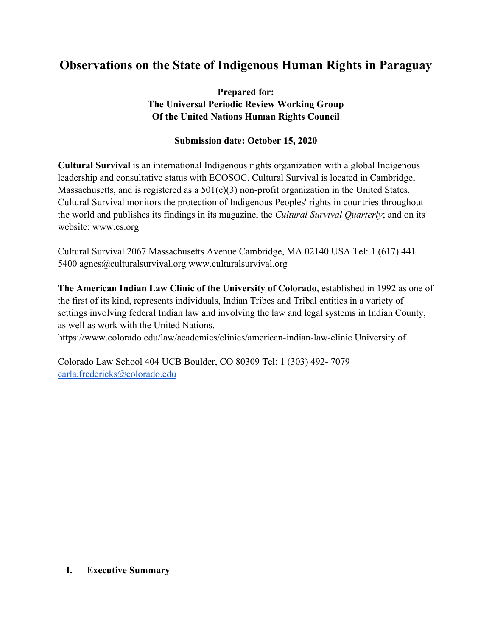# **Observations on the State of Indigenous Human Rights in Paraguay**

**Prepared for: The Universal Periodic Review Working Group Of the United Nations Human Rights Council**

## **Submission date: October 15, 2020**

**Cultural Survival** is an international Indigenous rights organization with <sup>a</sup> global Indigenous leadership and consultative status with ECOSOC. Cultural Survival is located in Cambridge, Massachusetts, and is registered as a 501(c)(3) non-profit organization in the United States. Cultural Survival monitors the protection of Indigenous Peoples' rights in countries throughout the world and publishes its findings in its magazine, the *Cultural Survival Quarterly*; and on its website: www.cs.org

Cultural Survival 2067 Massachusetts Avenue Cambridge, MA 02140 USA Tel: 1 (617) 441 5400 agnes@culturalsurvival.org www.culturalsurvival.org

**The American Indian Law Clinic of the University of Colorado**, established in 1992 as one of the first of its kind, represents individuals, Indian Tribes and Tribal entities in <sup>a</sup> variety of settings involving federal Indian law and involving the law and legal systems in Indian County, as well as work with the United Nations.

https://www.colorado.edu/law/academics/clinics/american-indian-law-clinic University of

Colorado Law School 404 UCB Boulder, CO 80309 Tel: 1 (303) 492- 7079 [carla.fredericks@colorado.edu](mailto:carla.fredericks@colorado.edu)

#### **I. Executive Summary**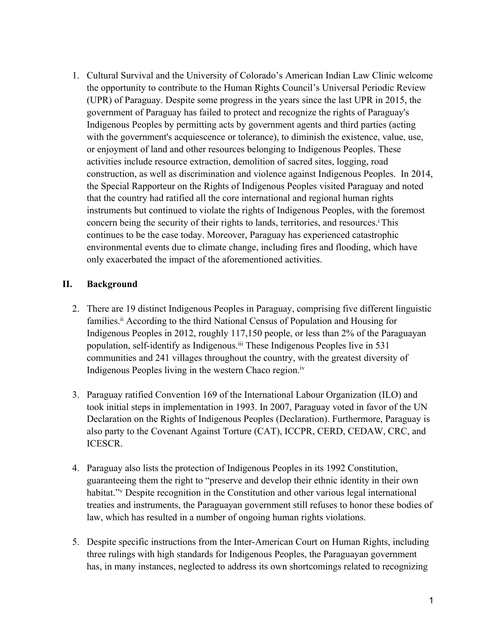1. Cultural Survival and the University of Colorado'<sup>s</sup> American Indian Law Clinic welcome the opportunity to contribute to the Human Rights Council'<sup>s</sup> Universal Periodic Review (UPR) of Paraguay. Despite some progress in the years since the last UPR in 2015, the governmen<sup>t</sup> of Paraguay has failed to protect and recognize the rights of Paraguay's Indigenous Peoples by permitting acts by governmen<sup>t</sup> agents and third parties (acting with the government's acquiescence or tolerance), to diminish the existence, value, use, or enjoyment of land and other resources belonging to Indigenous Peoples. These activities include resource extraction, demolition of sacred sites, logging, road construction, as well as discrimination and violence against Indigenous Peoples. In 2014, the Special Rapporteur on the Rights of Indigenous Peoples visited Paraguay and noted that the country had ratified all the core international and regional human rights instruments but continued to violate the rights of Indigenous Peoples, with the foremost concern being the security of their rights to lands, territories, and resources. i This continues to be the case today. Moreover, Paraguay has experienced catastrophic environmental events due to climate change, including fires and flooding, which have only exacerbated the impact of the aforementioned activities.

### **II. Background**

- 2. There are 19 distinct Indigenous Peoples in Paraguay, comprising five different linguistic families.<sup>ii</sup> According to the third National Census of Population and Housing for Indigenous Peoples in 2012, roughly 117,150 people, or less than 2% of the Paraguayan population, self-identify as Indigenous. iii These Indigenous Peoples live in 531 communities and 241 villages throughout the country, with the greatest diversity of Indigenous Peoples living in the western Chaco region.<sup>iv</sup>
- 3. Paraguay ratified Convention 169 of the International Labour Organization (ILO) and took initial steps in implementation in 1993. In 2007, Paraguay voted in favor of the UN Declaration on the Rights of Indigenous Peoples (Declaration). Furthermore, Paraguay is also party to the Covenant Against Torture (CAT), ICCPR, CERD, CEDAW, CRC, and ICESCR.
- 4. Paraguay also lists the protection of Indigenous Peoples in its 1992 Constitution, guaranteeing them the right to "preserve and develop their ethnic identity in their own habitat.<sup>"v</sup> Despite recognition in the Constitution and other various legal international treaties and instruments, the Paraguayan governmen<sup>t</sup> still refuses to honor these bodies of law, which has resulted in <sup>a</sup> number of ongoing human rights violations.
- 5. Despite specific instructions from the Inter-American Court on Human Rights, including three rulings with high standards for Indigenous Peoples, the Paraguayan governmen<sup>t</sup> has, in many instances, neglected to address its own shortcomings related to recognizing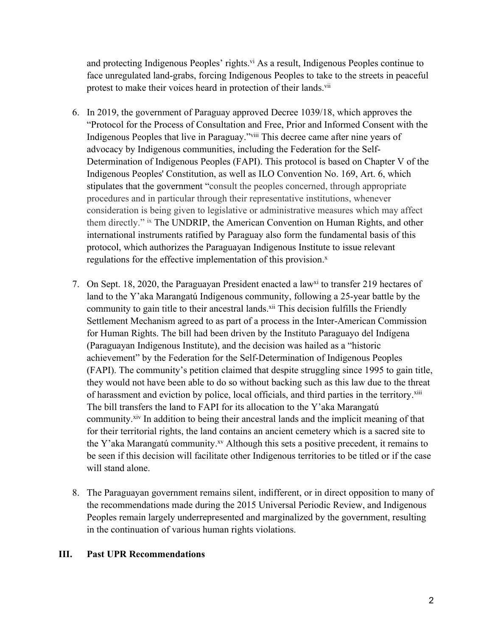and protecting Indigenous Peoples' rights.<sup>vi</sup> As a result, Indigenous Peoples continue to face unregulated land-grabs, forcing Indigenous Peoples to take to the streets in peaceful protest to make their voices heard in protection of their lands.<sup>vii</sup>

- 6. In 2019, the governmen<sup>t</sup> of Paraguay approved Decree 1039/18, which approves the "Protocol for the Process of Consultation and Free, Prior and Informed Consent with the Indigenous Peoples that live in Paraguay."<sup>viii</sup> This decree came after nine years of advocacy by Indigenous communities, including the Federation for the Self-Determination of Indigenous Peoples (FAPI). This protocol is based on Chapter V of the Indigenous Peoples' Constitution, as well as ILO Convention No. 169, Art. 6, which stipulates that the governmen<sup>t</sup> "consult the peoples concerned, through appropriate procedures and in particular through their representative institutions, whenever consideration is being given to legislative or administrative measures which may affect them directly." ix The UNDRIP, the American Convention on Human Rights, and other international instruments ratified by Paraguay also form the fundamental basis of this protocol, which authorizes the Paraguayan Indigenous Institute to issue relevant regulations for the effective implementation of this provision.<sup>x</sup>
- 7. On Sept. 18, 2020, the Paraguayan President enacted a law<sup>xi</sup> to transfer 219 hectares of land to the Y'aka Marangatú Indigenous community, following <sup>a</sup> 25-year battle by the community to gain title to their ancestral lands.<sup>xii</sup> This decision fulfills the Friendly Settlement Mechanism agreed to as par<sup>t</sup> of <sup>a</sup> process in the Inter-American Commission for Human Rights. The bill had been driven by the Instituto Paraguayo del Indígena (Paraguayan Indigenous Institute), and the decision was hailed as <sup>a</sup> "historic achievement" by the Federation for the Self-Determination of Indigenous Peoples (FAPI). The community'<sup>s</sup> petition claimed that despite struggling since 1995 to gain title, they would not have been able to do so without backing such as this law due to the threat of harassment and eviction by police, local officials, and third parties in the territory.<sup>xiii</sup> The bill transfers the land to FAPI for its allocation to the Y'aka Marangatú community.<sup>xiv</sup> In addition to being their ancestral lands and the implicit meaning of that for their territorial rights, the land contains an ancient cemetery which is <sup>a</sup> sacred site to the Y'aka Marangatú community. xv Although this sets <sup>a</sup> positive precedent, it remains to be seen if this decision will facilitate other Indigenous territories to be titled or if the case will stand alone.
- 8. The Paraguayan governmen<sup>t</sup> remains silent, indifferent, or in direct opposition to many of the recommendations made during the 2015 Universal Periodic Review, and Indigenous Peoples remain largely underrepresented and marginalized by the government, resulting in the continuation of various human rights violations.

#### **III. Past UPR Recommendations**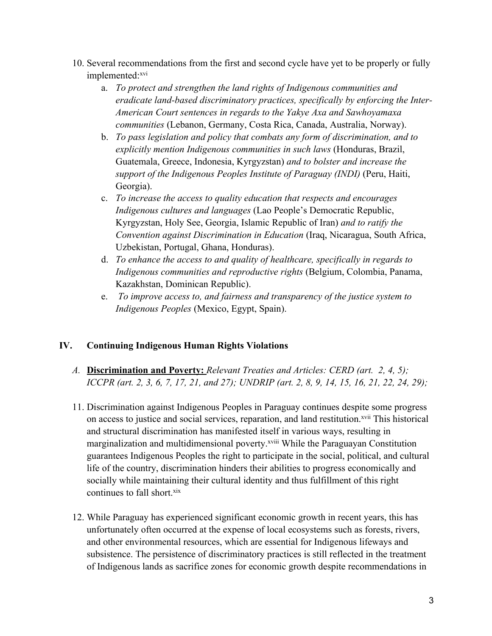- 10. Several recommendations from the first and second cycle have ye<sup>t</sup> to be properly or fully implemented: xvi
	- a. *To protect and strengthen the land rights of Indigenous communities and eradicate land-based discriminatory practices, specifically by enforcing the Inter-American Court sentences in regards to the Yakye Axa and Sawhoyamaxa communities* (Lebanon, Germany, Costa Rica, Canada, Australia, Norway).
	- b. *To pass legislation and policy that combats any form of discrimination, and to explicitly mention Indigenous communities in such laws* (Honduras, Brazil, Guatemala, Greece, Indonesia, Kyrgyzstan) *and to bolster and increase the suppor<sup>t</sup> of the Indigenous Peoples Institute of Paraguay (INDI)* (Peru, Haiti, Georgia).
	- c. *To increase the access to quality education that respects and encourages Indigenous cultures and languages* (Lao People'<sup>s</sup> Democratic Republic, Kyrgyzstan, Holy See, Georgia, Islamic Republic of Iran) *and to ratify the Convention against Discrimination in Education* (Iraq, Nicaragua, South Africa, Uzbekistan, Portugal, Ghana, Honduras).
	- d. *To enhance the access to and quality of healthcare, specifically in regards to Indigenous communities and reproductive rights* (Belgium, Colombia, Panama, Kazakhstan, Dominican Republic).
	- e. *To improve access to, and fairness and transparency of the justice system to Indigenous Peoples* (Mexico, Egypt, Spain).

## **IV. Continuing Indigenous Human Rights Violations**

- *A.* **Discrimination and Poverty:** *Relevant Treaties and Articles: CERD (art. 2, 4, 5);* ICCPR (art. 2, 3, 6, 7, 17, 21, and 27); UNDRIP (art. 2, 8, 9, 14, 15, 16, 21, 22, 24, 29);
- 11. Discrimination against Indigenous Peoples in Paraguay continues despite some progress on access to justice and social services, reparation, and land restitution.<sup>xvii</sup> This historical and structural discrimination has manifested itself in various ways, resulting in marginalization and multidimensional poverty.<sup>xviii</sup> While the Paraguayan Constitution guarantees Indigenous Peoples the right to participate in the social, political, and cultural life of the country, discrimination hinders their abilities to progress economically and socially while maintaining their cultural identity and thus fulfillment of this right continues to fall short. xix
- 12. While Paraguay has experienced significant economic growth in recent years, this has unfortunately often occurred at the expense of local ecosystems such as forests, rivers, and other environmental resources, which are essential for Indigenous lifeways and subsistence. The persistence of discriminatory practices is still reflected in the treatment of Indigenous lands as sacrifice zones for economic growth despite recommendations in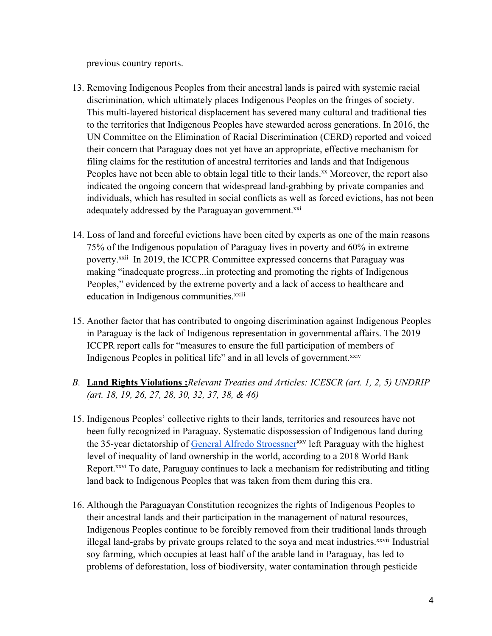previous country reports.

- 13. Removing Indigenous Peoples from their ancestral lands is paired with systemic racial discrimination, which ultimately places Indigenous Peoples on the fringes of society. This multi-layered historical displacement has severed many cultural and traditional ties to the territories that Indigenous Peoples have stewarded across generations. In 2016, the UN Committee on the Elimination of Racial Discrimination (CERD) reported and voiced their concern that Paraguay does not ye<sup>t</sup> have an appropriate, effective mechanism for filing claims for the restitution of ancestral territories and lands and that Indigenous Peoples have not been able to obtain legal title to their lands.<sup>xx</sup> Moreover, the report also indicated the ongoing concern that widespread land-grabbing by private companies and individuals, which has resulted in social conflicts as well as forced evictions, has not been adequately addressed by the Paraguayan government.<sup>xxi</sup>
- 14. Loss of land and forceful evictions have been cited by experts as one of the main reasons 75% of the Indigenous population of Paraguay lives in poverty and 60% in extreme poverty.<sup>xxii</sup> In 2019, the ICCPR Committee expressed concerns that Paraguay was making "inadequate progress...in protecting and promoting the rights of Indigenous Peoples," evidenced by the extreme poverty and <sup>a</sup> lack of access to healthcare and education in Indigenous communities.<sup>xxiii</sup>
- 15. Another factor that has contributed to ongoing discrimination against Indigenous Peoples in Paraguay is the lack of Indigenous representation in governmental affairs. The 2019 ICCPR repor<sup>t</sup> calls for "measures to ensure the full participation of members of Indigenous Peoples in political life" and in all levels of government.<sup>xxiv</sup>
- *B.* **Land Rights Violations :***Relevant Treaties and Articles: ICESCR (art. 1, 2, 5) UNDRIP (art. 18, 19, 26, 27, 28, 30, 32, 37, 38, &46)*
- 15. Indigenous Peoples' collective rights to their lands, territories and resources have not been fully recognized in Paraguay. Systematic dispossession of Indigenous land during the 35-year dictatorship of <u>General Alfredo [Stroessner](https://www.theguardian.com/world/2009/oct/14/alfredo-stroessner-paraguay-operation-condor)</u><sup>xxv</sup> left Paraguay with the highest level of inequality of land ownership in the world, according to <sup>a</sup> 2018 World Bank Report.<sup>xxvi</sup> To date, Paraguay continues to lack a mechanism for redistributing and titling land back to Indigenous Peoples that was taken from them during this era.
- 16. Although the Paraguayan Constitution recognizes the rights of Indigenous Peoples to their ancestral lands and their participation in the managemen<sup>t</sup> of natural resources, Indigenous Peoples continue to be forcibly removed from their traditional lands through illegal land-grabs by private groups related to the soya and meat industries.<sup>xxvii</sup> Industrial soy farming, which occupies at least half of the arable land in Paraguay, has led to problems of deforestation, loss of biodiversity, water contamination through pesticide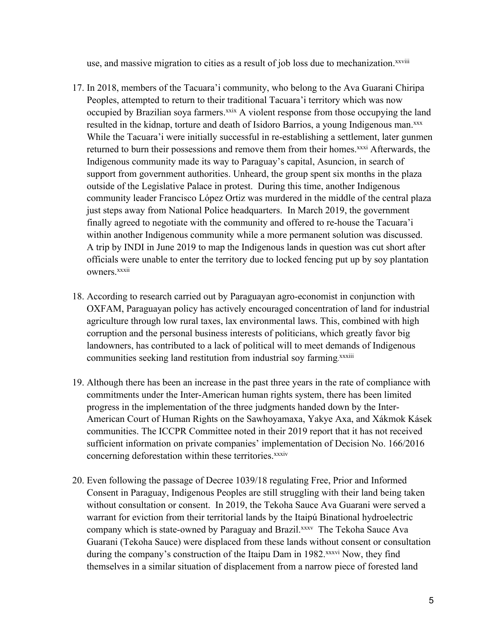use, and massive migration to cities as a result of job loss due to mechanization.<sup>xxviii</sup>

- 17. In 2018, members of the Tacuara'i community, who belong to the Ava Guarani Chiripa Peoples, attempted to return to their traditional Tacuara'i territory which was now occupied by Brazilian soya farmers.<sup>xxix</sup> A violent response from those occupying the land resulted in the kidnap, torture and death of Isidoro Barrios, <sup>a</sup> young Indigenous man. xxx While the Tacuara'i were initially successful in re-establishing <sup>a</sup> settlement, later gunmen returned to burn their possessions and remove them from their homes.<sup>xxxi</sup> Afterwards, the Indigenous community made its way to Paraguay'<sup>s</sup> capital, Asuncion, in search of suppor<sup>t</sup> from governmen<sup>t</sup> authorities. Unheard, the group spen<sup>t</sup> six months in the plaza outside of the Legislative Palace in protest. During this time, another Indigenous community leader Francisco López Ortiz was murdered in the middle of the central plaza just steps away from National Police headquarters. In March 2019, the governmen<sup>t</sup> finally agreed to negotiate with the community and offered to re-house the Tacuara'i within another Indigenous community while <sup>a</sup> more permanen<sup>t</sup> solution was discussed. A trip by INDI in June 2019 to map the Indigenous lands in question was cut short after officials were unable to enter the territory due to locked fencing pu<sup>t</sup> up by soy plantation owners.<sup>xxxii</sup>
- 18. According to research carried out by Paraguayan agro-economist in conjunction with OXFAM, Paraguayan policy has actively encouraged concentration of land for industrial agriculture through low rural taxes, lax environmental laws. This, combined with high corruption and the personal business interests of politicians, which greatly favor big landowners, has contributed to <sup>a</sup> lack of political will to meet demands of Indigenous communities seeking land restitution from industrial soy farming.<sup>xxxiii</sup>
- 19. Although there has been an increase in the pas<sup>t</sup> three years in the rate of compliance with commitments under the Inter-American human rights system, there has been limited progress in the implementation of the three judgments handed down by the Inter-American Court of Human Rights on the Sawhoyamaxa, Yakye Axa, and Xákmok Kásek communities. The ICCPR Committee noted in their 2019 repor<sup>t</sup> that it has not received sufficient information on private companies' implementation of Decision No. 166/2016 concerning deforestation within these territories.<sup>xxxiv</sup>
- 20. Even following the passage of Decree 1039/18 regulating Free, Prior and Informed Consent in Paraguay, Indigenous Peoples are still struggling with their land being taken without consultation or consent. In 2019, the Tekoha Sauce Ava Guarani were served <sup>a</sup> warrant for eviction from their territorial lands by the Itaipú Binational hydroelectric company which is state-owned by Paraguay and Brazil.<sup>xxxv</sup> The Tekoha Sauce Ava Guarani (Tekoha Sauce) were displaced from these lands without consent or consultation during the company's construction of the Itaipu Dam in 1982.<sup>xxxvi</sup> Now, they find themselves in <sup>a</sup> similar situation of displacement from <sup>a</sup> narrow piece of forested land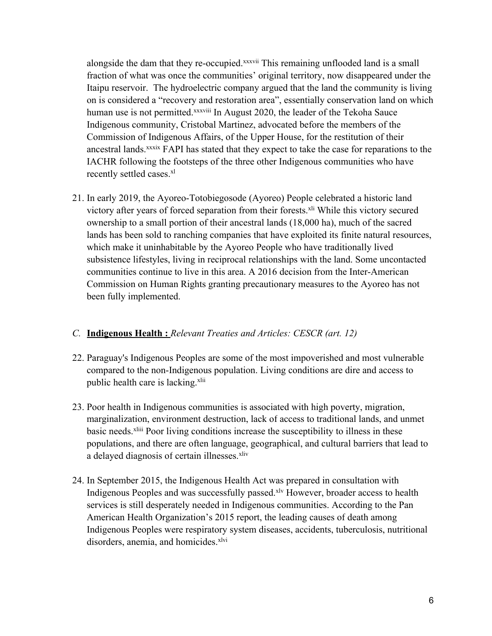alongside the dam that they re-occupied.<sup>xxxvii</sup> This remaining unflooded land is a small fraction of what was once the communities' original territory, now disappeared under the Itaipu reservoir. The hydroelectric company argued that the land the community is living on is considered <sup>a</sup> "recovery and restoration area", essentially conservation land on which human use is not permitted.<sup>xxxviii</sup> In August 2020, the leader of the Tekoha Sauce Indigenous community, Cristobal Martinez, advocated before the members of the Commission of Indigenous Affairs, of the Upper House, for the restitution of their ancestral lands.<sup>xxxix</sup> FAPI has stated that they expect to take the case for reparations to the IACHR following the footsteps of the three other Indigenous communities who have recently settled cases. xl

21. In early 2019, the Ayoreo-Totobiegosode (Ayoreo) People celebrated <sup>a</sup> historic land victory after years of forced separation from their forests.<sup>xli</sup> While this victory secured ownership to <sup>a</sup> small portion of their ancestral lands (18,000 ha), much of the sacred lands has been sold to ranching companies that have exploited its finite natural resources, which make it uninhabitable by the Ayoreo People who have traditionally lived subsistence lifestyles, living in reciprocal relationships with the land. Some uncontacted communities continue to live in this area. A 2016 decision from the Inter-American Commission on Human Rights granting precautionary measures to the Ayoreo has not been fully implemented.

## *C.* **Indigenous Health :** *Relevant Treaties and Articles: CESCR (art. 12)*

- 22. Paraguay's Indigenous Peoples are some of the most impoverished and most vulnerable compared to the non-Indigenous population. Living conditions are dire and access to public health care is lacking.<sup>xlii</sup>
- 23. Poor health in Indigenous communities is associated with high poverty, migration, marginalization, environment destruction, lack of access to traditional lands, and unmet basic needs.<sup>xliii</sup> Poor living conditions increase the susceptibility to illness in these populations, and there are often language, geographical, and cultural barriers that lead to a delayed diagnosis of certain illnesses.<sup>xliv</sup>
- 24. In September 2015, the Indigenous Health Act was prepared in consultation with Indigenous Peoples and was successfully passed.<sup>xlv</sup> However, broader access to health services is still desperately needed in Indigenous communities. According to the Pan American Health Organization'<sup>s</sup> 2015 report, the leading causes of death among Indigenous Peoples were respiratory system diseases, accidents, tuberculosis, nutritional disorders, anemia, and homicides. xlvi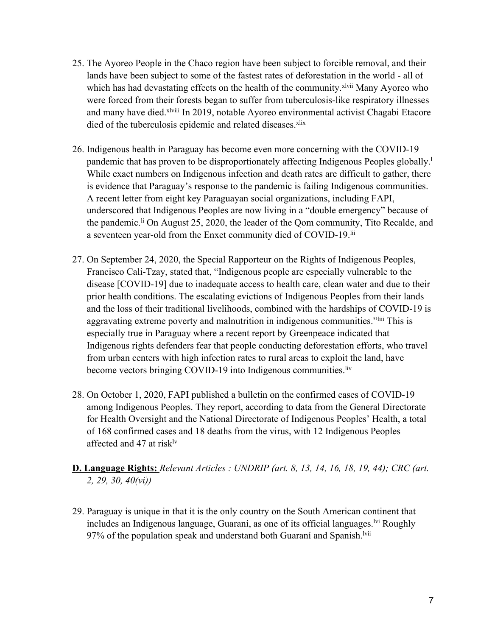- 25. The Ayoreo People in the Chaco region have been subject to forcible removal, and their lands have been subject to some of the fastest rates of deforestation in the world - all of which has had devastating effects on the health of the community.<sup>xlvii</sup> Many Ayoreo who were forced from their forests began to suffer from tuberculosis-like respiratory illnesses and many have died.<sup>xlviii</sup> In 2019, notable Ayoreo environmental activist Chagabi Etacore died of the tuberculosis epidemic and related diseases.<sup>xlix</sup>
- 26. Indigenous health in Paraguay has become even more concerning with the COVID-19 pandemic that has proven to be disproportionately affecting Indigenous Peoples globally.<sup>1</sup> While exact numbers on Indigenous infection and death rates are difficult to gather, there is evidence that Paraguay'<sup>s</sup> response to the pandemic is failing Indigenous communities. A recent letter from eight key Paraguayan social organizations, including FAPI, underscored that Indigenous Peoples are now living in <sup>a</sup> "double emergency" because of the pandemic. li On August 25, 2020, the leader of the Qom community, Tito Recalde, and a seventeen year-old from the Enxet community died of COVID-19.<sup>lii</sup>
- 27. On September 24, 2020, the Special Rapporteur on the Rights of Indigenous Peoples, Francisco Cali-Tzay, stated that, "Indigenous people are especially vulnerable to the disease [COVID-19] due to inadequate access to health care, clean water and due to their prior health conditions. The escalating evictions of Indigenous Peoples from their lands and the loss of their traditional livelihoods, combined with the hardships of COVID-19 is aggravating extreme poverty and malnutrition in indigenous communities."<sup>Iiii</sup> This is especially true in Paraguay where <sup>a</sup> recent repor<sup>t</sup> by Greenpeace indicated that Indigenous rights defenders fear that people conducting deforestation efforts, who travel from urban centers with high infection rates to rural areas to exploit the land, have become vectors bringing COVID-19 into Indigenous communities. liv
- 28. On October 1, 2020, FAPI published <sup>a</sup> bulletin on the confirmed cases of COVID-19 among Indigenous Peoples. They report, according to data from the General Directorate for Health Oversight and the National Directorate of Indigenous Peoples' Health, <sup>a</sup> total of 168 confirmed cases and 18 deaths from the virus, with 12 Indigenous Peoples affected and 47 at risk $\frac{dv}{dx}$
- **D. Language Rights:** *Relevant Articles : UNDRIP (art. 8, 13, 14, 16, 18, 19, 44); CRC (art. 2, 29, 30, 40(vi))*
- 29. Paraguay is unique in that it is the only country on the South American continent that includes an Indigenous language, Guaraní, as one of its official languages.<sup>Ivi</sup> Roughly 97% of the population speak and understand both Guaraní and Spanish. $^{\text{Ivii}}$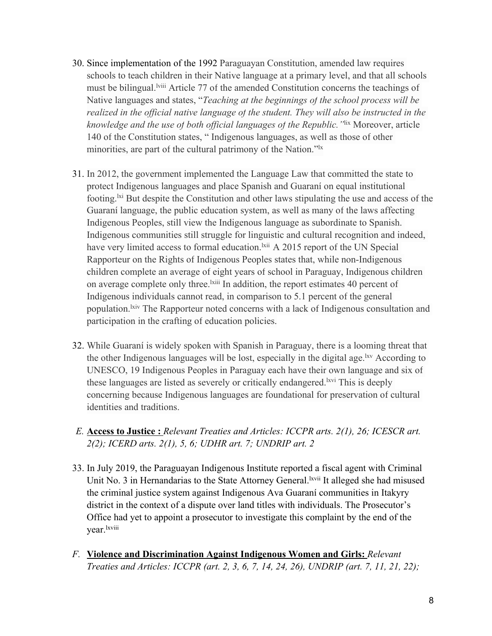- 30. Since implementation of the 1992 Paraguayan Constitution, amended law requires schools to teach children in their Native language at <sup>a</sup> primary level, and that all schools must be bilingual.<sup>Iviii</sup> Article 77 of the amended Constitution concerns the teachings of Native languages and states, "*Teaching at the beginnings of the school process will be realized in the official native language of the student. They will also be instructed in the knowledge and the use of both official languages of the Republic."*lix Moreover, article 140 of the Constitution states, " Indigenous languages, as well as those of other minorities, are par<sup>t</sup> of the cultural patrimony of the Nation."lx
- 31. In 2012, the governmen<sup>t</sup> implemented the Language Law that committed the state to protect Indigenous languages and place Spanish and Guaraní on equal institutional footing.<sup>Ixi</sup> But despite the Constitution and other laws stipulating the use and access of the Guaraní language, the public education system, as well as many of the laws affecting Indigenous Peoples, still view the Indigenous language as subordinate to Spanish. Indigenous communities still struggle for linguistic and cultural recognition and indeed, have very limited access to formal education. Kill A 2015 report of the UN Special Rapporteur on the Rights of Indigenous Peoples states that, while non-Indigenous children complete an average of eight years of school in Paraguay, Indigenous children on average complete only three. <sup>Ixiii</sup> In addition, the report estimates 40 percent of Indigenous individuals cannot read, in comparison to 5.1 percen<sup>t</sup> of the general population. <sup>Ixiv</sup> The Rapporteur noted concerns with a lack of Indigenous consultation and participation in the crafting of education policies.
- 32. While Guaraní is widely spoken with Spanish in Paraguay, there is <sup>a</sup> looming threat that the other Indigenous languages will be lost, especially in the digital age. <sup>Ixv</sup> According to UNESCO, 19 Indigenous Peoples in Paraguay each have their own language and six of these languages are listed as severely or critically endangered. <sup>Ixvi</sup> This is deeply concerning because Indigenous languages are foundational for preservation of cultural identities and traditions.
- *E.* **Access to Justice :** *Relevant Treaties and Articles: ICCPR arts. 2(1), 26; ICESCR art. 2(2); ICERD arts. 2(1), 5, 6; UDHR art. 7; UNDRIP art. 2*
- 33. In July 2019, the Paraguayan Indigenous Institute reported <sup>a</sup> fiscal agen<sup>t</sup> with Criminal Unit No. 3 in Hernandarias to the State Attorney General. xvii It alleged she had misused the criminal justice system against Indigenous Ava Guaraní communities in Itakyry district in the context of <sup>a</sup> dispute over land titles with individuals. The Prosecutor'<sup>s</sup> Office had ye<sup>t</sup> to appoint <sup>a</sup> prosecutor to investigate this complaint by the end of the year.<sup>lxviii</sup>
- *F.* **Violence and Discrimination Against Indigenous Women and Girls:** *Relevant Treaties and Articles: ICCPR (art. 2, 3, 6, 7, 14, 24, 26), UNDRIP (art. 7, 11, 21, 22);*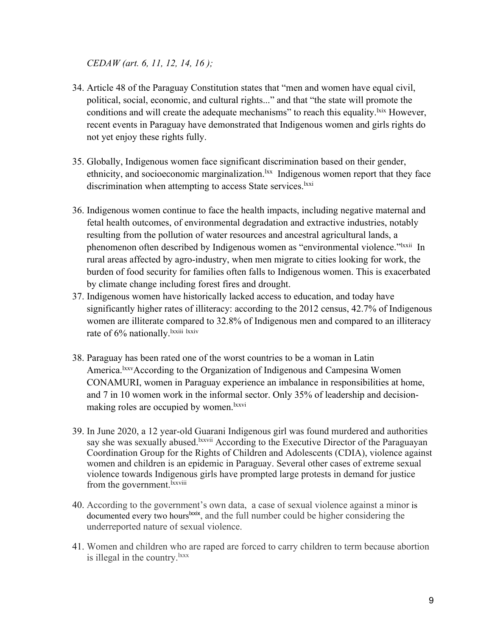### *CEDAW (art. 6, 11, 12, 14, 16 );*

- 34. Article 48 of the Paraguay Constitution states that "men and women have equal civil, political, social, economic, and cultural rights..." and that "the state will promote the conditions and will create the adequate mechanisms" to reach this equality. <sup>Ixix</sup> However, recent events in Paraguay have demonstrated that Indigenous women and girls rights do not ye<sup>t</sup> enjoy these rights fully.
- 35. Globally, Indigenous women face significant discrimination based on their gender, ethnicity, and socioeconomic marginalization. Ixx Indigenous women report that they face discrimination when attempting to access State services.<sup>1xxi</sup>
- 36. Indigenous women continue to face the health impacts, including negative maternal and fetal health outcomes, of environmental degradation and extractive industries, notably resulting from the pollution of water resources and ancestral agricultural lands, <sup>a</sup> phenomenon often described by Indigenous women as "environmental violence."<sup>Ixxii</sup> In rural areas affected by agro-industry, when men migrate to cities looking for work, the burden of food security for families often falls to Indigenous women. This is exacerbated by climate change including forest fires and drought.
- 37. Indigenous women have historically lacked access to education, and today have significantly higher rates of illiteracy: according to the 2012 census, 42.7% of Indigenous women are illiterate compared to 32.8% of Indigenous men and compared to an illiteracy rate of 6% nationally. Ixxiii Ixxiv
- 38. Paraguay has been rated one of the worst countries to be <sup>a</sup> woman in Latin America.<sup>1xxv</sup>According to the Organization of Indigenous and Campesina Women CONAMURI, women in Paraguay experience an imbalance in responsibilities at home, and 7 in 10 women work in the informal sector. Only 35% of leadership and decisionmaking roles are occupied by women.<sup>1xxvi</sup>
- 39. In June 2020, <sup>a</sup> 12 year-old Guarani Indigenous girl was found murdered and authorities say she was sexually abused.<sup>Ixxvii</sup> According to the Executive Director of the Paraguayan Coordination Group for the Rights of Children and Adolescents (CDIA), violence against women and children is an epidemic in Paraguay. Several other cases of extreme sexual violence towards Indigenous girls have prompted large protests in demand for justice from the government.<sup>Ixxviii</sup>
- 40. According to the government'<sup>s</sup> own data, <sup>a</sup> case of sexual violence against <sup>a</sup> minor is documented every two hours<sup>lxxix</sup>, and the full number could be higher considering the underreported nature of sexual violence.
- 41. Women and children who are raped are forced to carry children to term because abortion is illegal in the country.<sup>1xxx</sup>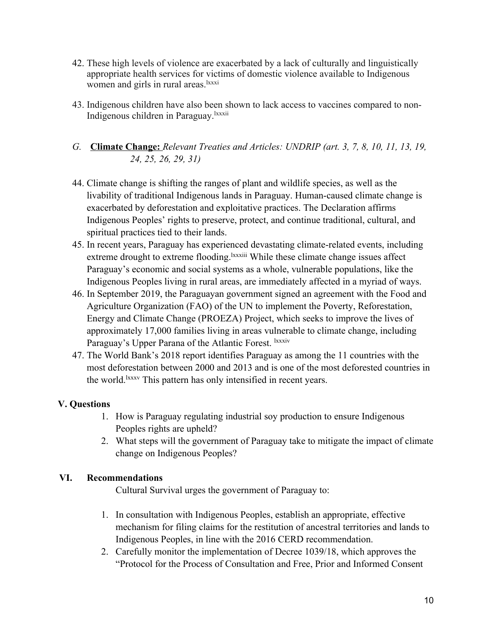- 42. These high levels of violence are exacerbated by <sup>a</sup> lack of culturally and linguistically appropriate health services for victims of domestic violence available to Indigenous women and girls in rural areas.<sup>1xxxi</sup>
- 43. Indigenous children have also been shown to lack access to vaccines compared to non-Indigenous children in Paraguay. Ixxxii
- *G.* **Climate Change:** *Relevant Treaties and Articles: UNDRIP (art. 3, 7, 8, 10, 11, 13, 19, 24, 25, 26, 29, 31)*
- 44. Climate change is shifting the ranges of plant and wildlife species, as well as the livability of traditional Indigenous lands in Paraguay. Human-caused climate change is exacerbated by deforestation and exploitative practices. The Declaration affirms Indigenous Peoples' rights to preserve, protect, and continue traditional, cultural, and spiritual practices tied to their lands.
- 45. In recent years, Paraguay has experienced devastating climate-related events, including extreme drought to extreme flooding.<sup>1xxxiii</sup> While these climate change issues affect Paraguay'<sup>s</sup> economic and social systems as <sup>a</sup> whole, vulnerable populations, like the Indigenous Peoples living in rural areas, are immediately affected in <sup>a</sup> myriad of ways.
- 46. In September 2019, the Paraguayan governmen<sup>t</sup> signed an agreemen<sup>t</sup> with the Food and Agriculture Organization (FAO) of the UN to implement the Poverty, Reforestation, Energy and Climate Change (PROEZA) Project, which seeks to improve the lives of approximately 17,000 families living in areas vulnerable to climate change, including Paraguay's Upper Parana of the Atlantic Forest. <sup>Ixxxiv</sup>
- 47. The World Bank'<sup>s</sup> 2018 repor<sup>t</sup> identifies Paraguay as among the 11 countries with the most deforestation between 2000 and 2013 and is one of the most deforested countries in the world.<sup>1xxxv</sup> This pattern has only intensified in recent years.

# **V. Questions**

- 1. How is Paraguay regulating industrial soy production to ensure Indigenous Peoples rights are upheld?
- 2. What steps will the governmen<sup>t</sup> of Paraguay take to mitigate the impact of climate change on Indigenous Peoples?

# **VI. Recommendations**

Cultural Survival urges the governmen<sup>t</sup> of Paraguay to:

- 1. In consultation with Indigenous Peoples, establish an appropriate, effective mechanism for filing claims for the restitution of ancestral territories and lands to Indigenous Peoples, in line with the 2016 CERD recommendation.
- 2. Carefully monitor the implementation of Decree 1039/18, which approves the "Protocol for the Process of Consultation and Free, Prior and Informed Consent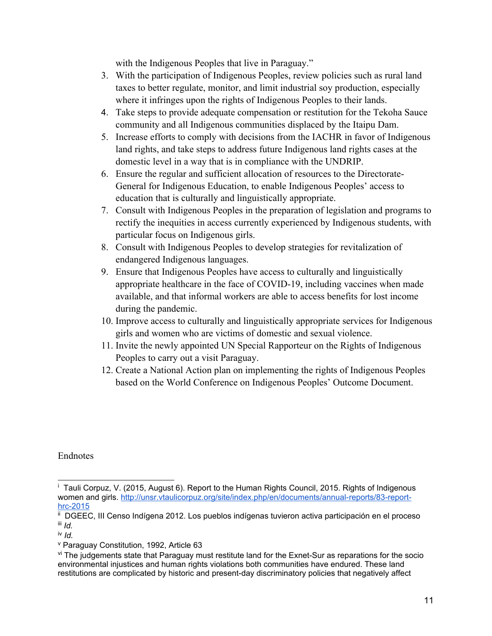with the Indigenous Peoples that live in Paraguay."

- 3. With the participation of Indigenous Peoples, review policies such as rural land taxes to better regulate, monitor, and limit industrial soy production, especially where it infringes upon the rights of Indigenous Peoples to their lands.
- 4. Take steps to provide adequate compensation or restitution for the Tekoha Sauce community and all Indigenous communities displaced by the Itaipu Dam.
- 5. Increase efforts to comply with decisions from the IACHR in favor of Indigenous land rights, and take steps to address future Indigenous land rights cases at the domestic level in <sup>a</sup> way that is in compliance with the UNDRIP.
- 6. Ensure the regular and sufficient allocation of resources to the Directorate-General for Indigenous Education, to enable Indigenous Peoples' access to education that is culturally and linguistically appropriate.
- 7. Consult with Indigenous Peoples in the preparation of legislation and programs to rectify the inequities in access currently experienced by Indigenous students, with particular focus on Indigenous girls.
- 8. Consult with Indigenous Peoples to develop strategies for revitalization of endangered Indigenous languages.
- 9. Ensure that Indigenous Peoples have access to culturally and linguistically appropriate healthcare in the face of COVID-19, including vaccines when made available, and that informal workers are able to access benefits for lost income during the pandemic.
- 10. Improve access to culturally and linguistically appropriate services for Indigenous girls and women who are victims of domestic and sexual violence.
- 11. Invite the newly appointed UN Special Rapporteur on the Rights of Indigenous Peoples to carry out <sup>a</sup> visit Paraguay.
- 12. Create <sup>a</sup> National Action plan on implementing the rights of Indigenous Peoples based on the World Conference on Indigenous Peoples' Outcome Document.

Endnotes

<sup>&</sup>lt;sup>i</sup> Tauli Corpuz, V. (2015, August 6). Report to the Human Rights Council, 2015. Rights of Indigenous women and girls. [http://unsr.vtaulicorpuz.org/site/index.php/en/documents/annual-reports/83-report](http://unsr.vtaulicorpuz.org/site/index.php/en/documents/annual-reports/83-report-hrc-2015)[hrc-2015](http://unsr.vtaulicorpuz.org/site/index.php/en/documents/annual-reports/83-report-hrc-2015)

ii DGEEC, III Censo Indígena 2012. Los pueblos indígenas tuvieron activa participación en el proceso iii *Id.*

iv *Id.*

v Paraguay Constitution, 1992, Article 63

<sup>&</sup>lt;sup>vi</sup> The judgements state that Paraguay must restitute land for the Exnet-Sur as reparations for the socio environmental injustices and human rights violations both communities have endured. These land restitutions are complicated by historic and present-day discriminatory policies that negatively affect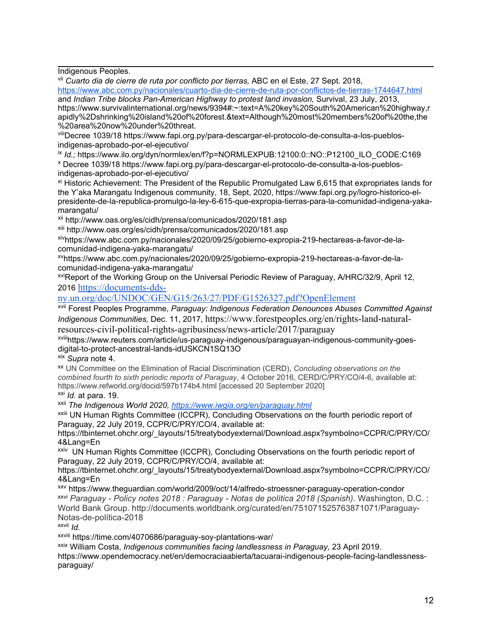Indigenous Peoples.

vii *Cuarto dia de cierre de ruta por conflicto por tierras,* ABC en el Este, <sup>27</sup> Sept. 2018,

<https://www.abc.com.py/nacionales/cuarto-dia-de-cierre-de-ruta-por-conflictos-de-tierras-1744647.html> and *Indian Tribe blocks Pan-American Highway to protest land invasion,* Survival, 23 July, 2013,

https://www.survivalinternational.org/news/9394#:~:text=A%20key%20South%20American%20highway,r apidly%2Dshrinking%20island%20of%20forest.&text=Although%20most%20members%20of%20the,the %20area%20now%20under%20threat.

viiiDecree 1039/18 https://www.fapi.org.py/para-descargar-el-protocolo-de-consulta-a-los-pueblosindigenas-aprobado-por-el-ejecutivo/

<sup>ix</sup> Id.; https://www.ilo.org/dyn/normlex/en/f?p=NORMLEXPUB:12100:0::NO::P12100\_ILO\_CODE:C169

<sup>x</sup> Decree 1039/18 https://www.fapi.org.py/para-descargar-el-protocolo-de-consulta-a-los-pueblosindigenas-aprobado-por-el-ejecutivo/

xi Historic Achievement: The President of the Republic Promulgated Law 6,615 that expropriates lands for the Y'aka Marangatu Indigenous community, 18, Sept, 2020, https://www.fapi.org.py/logro-historico-elpresidente-de-la-republica-promulgo-la-ley-6-615-que-expropia-tierras-para-la-comunidad-indigena-yakamarangatu/

xii http://www.oas.org/es/cidh/prensa/comunicados/2020/181.asp

<sup>xiii</sup> http://www.oas.org/es/cidh/prensa/comunicados/2020/181.asp

xiv https://www.abc.com.py/nacionales/2020/09/25/gobierno-expropia-219-hectareas-a-favor-de-lacomunidad-indigena-yaka-marangatu/

xv https://www.abc.com.py/nacionales/2020/09/25/gobierno-expropia-219-hectareas-a-favor-de-lacomunidad-indigena-yaka-marangatu/

xviReport of the Working Group on the Universal Periodic Review of Paraguay, A/HRC/32/9, April 12, <sup>2016</sup> [https://documents-dds-](https://documents-dds-ny.un.org/doc/UNDOC/GEN/G15/263/27/PDF/G1526327.pdf?OpenElement)

#### [ny.un.org/doc/UNDOC/GEN/G15/263/27/PDF/G1526327.pdf?OpenElement](https://documents-dds-ny.un.org/doc/UNDOC/GEN/G15/263/27/PDF/G1526327.pdf?OpenElement)

xvii Forest Peoples Programme, *Paraguay: Indigenous Federation Denounces Abuses Committed Against Indigenous Communities,* Dec. 11, 2017, https://www.forestpeoples.org/en/rights-land-naturalresources-civil-political-rights-agribusiness/news-article/2017/paraguay

xviii https://www.reuters.com/article/us-paraguay-indigenous/paraguayan-indigenous-community-goesdigital-to-protect-ancestral-lands-idUSKCN1SQ13O

xix *Supra* note 4.

xx UN Committee on the Elimination of Racial Discrimination (CERD), *Concluding observations on the combined fourth to sixth periodic reports of Paraguay*, 4 October 2016, CERD/C/PRY/CO/4-6, available at: https://www.refworld.org/docid/597b174b4.html [accessed 20 September 2020]

xxi *Id.* at para. 19.

xxii *The Indigenous World 2020, <https://www.iwgia.org/en/paraguay.html>*

xxiii UN Human Rights Committee (ICCPR), Concluding Observations on the fourth periodic report of Paraguay, 22 July 2019, CCPR/C/PRY/CO/4, available at:

https://tbinternet.ohchr.org/\_layouts/15/treatybodyexternal/Download.aspx?symbolno=CCPR/C/PRY/CO/ 4&Lang=En

xxiv UN Human Rights Committee (ICCPR), Concluding Observations on the fourth periodic report of Paraguay, 22 July 2019, CCPR/C/PRY/CO/4, available at:

https://tbinternet.ohchr.org/\_layouts/15/treatybodyexternal/Download.aspx?symbolno=CCPR/C/PRY/CO/ 4&Lang=En

xxv https://www.theguardian.com/world/2009/oct/14/alfredo-stroessner-paraguay-operation-condor xxvi *Paraguay - Policy notes 2018 : Paraguay - Notas de política 2018 (Spanish).* Washington, D.C. : World Bank Group. http://documents.worldbank.org/curated/en/751071525763871071/Paraguay-Notas-de-política-2018

xxvii *Id.*

<sup>xxviii</sup> https://time.com/4070686/paraguay-soy-plantations-war/

xxix William Costa, *Indigenous communities facing landlessness in Paraguay,* <sup>23</sup> April 2019. https://www.opendemocracy.net/en/democraciaabierta/tacuarai-indigenous-people-facing-landlessnessparaguay/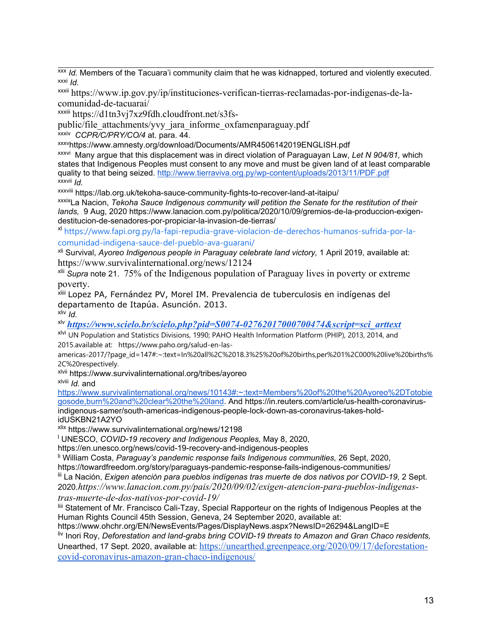xxx *Id.* Members of the Tacuara'i community claim that he was kidnapped, tortured and violently executed. xxxi *Id.*

xxxii https://www.ip.gov.py/ip/instituciones-verifican-tierras-reclamadas-por-indigenas-de-lacomunidad-de-tacuarai/

xxxiii https://d1tn3vj7xz9fdh.cloudfront.net/s3fs-

public/file\_attachments/yvy\_jara\_informe\_oxfamenparaguay.pdf

xxxiv *CCPR/C/PRY/CO/4* at. para. 44.

xxxv https://www.amnesty.org/download/Documents/AMR4506142019ENGLISH.pdf

xxxvi Many argue that this displacement was in direct violation of Paraguayan Law, *Let <sup>N</sup> 904/81,* which states that Indigenous Peoples must consent to any move and must be given land of at least comparable quality to that being seized. <http://www.tierraviva.org.py/wp-content/uploads/2013/11/PDF.pdf> xxxvii *Id.*

<sup>xxxviii</sup> https://lab.org.uk/tekoha-sauce-community-fights-to-recover-land-at-itaipu/

xxxix La Nacion, *Tekoha Sauce Indigenous community will petition the Senate for the restitution of their lands,* 9 Aug, 2020 https://www.lanacion.com.py/politica/2020/10/09/gremios-de-la-produccion-exigendestitucion-de-senadores-por-propiciar-la-invasion-de-tierras/

xl [https://www.fapi.org.py/la-fapi-repudia-grave-violacion-de-derechos-humanos-sufrida-por-la](https://www.fapi.org.py/la-fapi-repudia-grave-violacion-de-derechos-humanos-sufrida-por-la-comunidad-indigena-sauce-del-pueblo-ava-guarani/)[comunidad-indigena-sauce-del-pueblo-ava-guarani/](https://www.fapi.org.py/la-fapi-repudia-grave-violacion-de-derechos-humanos-sufrida-por-la-comunidad-indigena-sauce-del-pueblo-ava-guarani/)

xli Survival, *Ayoreo Indigenous people in Paraguay celebrate land victory,* 1 April 2019, available at: https://www.survivalinternational.org/news/12124

<sup>xlii</sup> Supra note 21. 75% of the Indigenous population of Paraguay lives in poverty or extreme

poverty.<br><sup>xiii</sup> Lopez PA, Fernández PV, Morel IM. Prevalencia de tuberculosis en indígenas del departamento de Itapúa. Asunción. 2013.

xliv *Id.*

xlv *[https://www.scielo.br/scielo.php?pid=S0074-02762017000700474&script=sci\\_arttext](https://www.scielo.br/scielo.php?pid=S0074-02762017000700474&script=sci_arttext)*

<sup>xlvi</sup> UN Population and Statistics Divisions, 1990; PAHO Health Information Platform (PHIP), 2013, 2014, and 2015.available at: https://www.paho.org/salud-en-las-

americas-2017/?page\_id=147#:~:text=In%20all%2C%2018.3%25%20of%20births,per%201%2C000%20live%20births% 2C%20respectively.

<sup>xlvii</sup> https://www.survivalinternational.org/tribes/ayoreo xlviii *Id.* and

[https://www.survivalinternational.org/news/10143#:~:text=Members%20of%20the%20Ayoreo%2DTotobie](https://www.survivalinternational.org/news/10143#:~:text=Members%20of%20the%20Ayoreo%2DTotobiegosode,burn%20and%20clear%20the%20land) [gosode,burn%20and%20clear%20the%20land](https://www.survivalinternational.org/news/10143#:~:text=Members%20of%20the%20Ayoreo%2DTotobiegosode,burn%20and%20clear%20the%20land). And https://in.reuters.com/article/us-health-coronavirusindigenous-samer/south-americas-indigenous-people-lock-down-as-coronavirus-takes-holdidUSKBN21A2YO

xlix https://www.survivalinternational.org/news/12198

<sup>l</sup> UNESCO, *COVID-19 recovery and Indigenous Peoples,* May 8, 2020,

https://en.unesco.org/news/covid-19-recovery-and-indigenous-peoples

li William Costa, *Paraguay'<sup>s</sup> pandemic response fails Indigenous communities,* <sup>26</sup> Sept, 2020,

https://towardfreedom.org/story/paraguays-pandemic-response-fails-indigenous-communities/

lii La Nación, *Exigen atención para pueblos indígenas tras muerte de dos nativos por COVID-19,* 2 Sept.

2020.*https://www.lanacion.com.py/pais/2020/09/02/exigen-atencion-para-pueblos-indigenastras-muerte-de-dos-nativos-por-covid-19/*

liii Statement of Mr. Francisco Cali-Tzay, Special Rapporteur on the rights of Indigenous Peoples at the Human Rights Council 45th Session, Geneva, 24 September 2020, available at:

https://www.ohchr.org/EN/NewsEvents/Pages/DisplayNews.aspx?NewsID=26294&LangID=E

liv Inori Roy, *Deforestation and land-grabs bring COVID-19 threats to Amazon and Gran Chaco residents,* Unearthed, 17 Sept. 2020, available at: [https://unearthed.greenpeace.org/2020/09/17/deforestation](https://unearthed.greenpeace.org/2020/09/17/deforestation-covid-coronavirus-amazon-gran-chaco-indigenous/)[covid-coronavirus-amazon-gran-chaco-indigenous/](https://unearthed.greenpeace.org/2020/09/17/deforestation-covid-coronavirus-amazon-gran-chaco-indigenous/)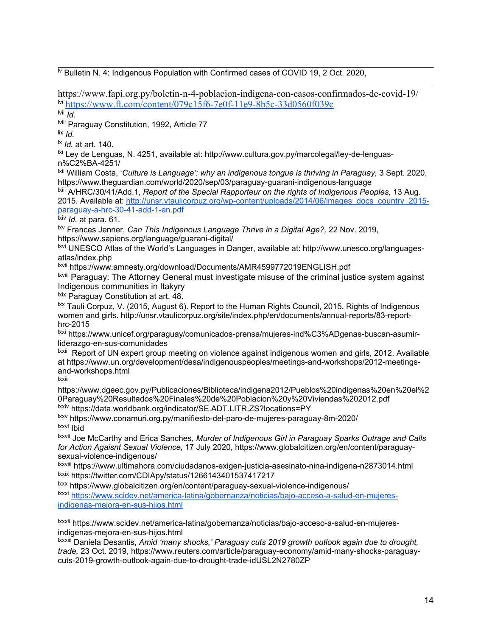**N** Bulletin N. 4: Indigenous Population with Confirmed cases of COVID 19, 2 Oct. 2020,

https://www.fapi.org.py/boletin-n-4-poblacion-indigena-con-casos-confirmados-de-covid-19/ lvi <https://www.ft.com/content/079c15f6-7e0f-11e9-8b5c-33d0560f039c>

lvii *Id.*

<sup>lviii</sup> Paraguay Constitution, 1992, Article 77

lix *Id.*

lx *Id.* at art. 140.

<sup>lxi</sup> Ley de Lenguas, N. 4251, available at: http://www.cultura.gov.py/marcolegal/ley-de-lenguasn%C2%BA-4251/

lxii William Costa, '*Culture is Language': why an indigenous tongue is thriving in Paraguay,* <sup>3</sup> Sept. 2020, https://www.theguardian.com/world/2020/sep/03/paraguay-guarani-indigenous-language

lxiii A/HRC/30/41/Add.1, *Report of the Special Rapporteur on the rights of Indigenous Peoples,* 13 Aug. 2015. Available at: [http://unsr.vtaulicorpuz.org/wp-content/uploads/2014/06/images\\_docs\\_country\\_2015](http://unsr.vtaulicorpuz.org/wp-content/uploads/2014/06/images_docs_country_2015-paraguay-a-hrc-30-41-add-1-en.pdf) [paraguay-a-hrc-30-41-add-1-en.pdf](http://unsr.vtaulicorpuz.org/wp-content/uploads/2014/06/images_docs_country_2015-paraguay-a-hrc-30-41-add-1-en.pdf)

lxiv *Id.* at para. 61.

lxv Frances Jenner, *Can This Indigenous Language Thrive in <sup>a</sup> Digital Age?,* 22 Nov. 2019, https://www.sapiens.org/language/guarani-digital/

lxvi UNESCO Atlas of the World'<sup>s</sup> Languages in Danger, available at: http://www.unesco.org/languagesatlas/index.php

<sup>lxvii</sup> https://www.amnesty.org/download/Documents/AMR4599772019ENGLISH.pdf

<sup>lxviii</sup> Paraguay: The Attorney General must investigate misuse of the criminal justice system against Indigenous communities in Itakyry

<sup>lxix</sup> Paraguay Constitution at art. 48.

 $^{\texttt{hx}}$  Tauli Corpuz, V. (2015, August 6). Report to the Human Rights Council, 2015. Rights of Indigenous women and girls. http://unsr.vtaulicorpuz.org/site/index.php/en/documents/annual-reports/83-reporthrc-2015

<sup>lxxi</sup> https://www.unicef.org/paraguay/comunicados-prensa/mujeres-ind%C3%ADgenas-buscan-asumirliderazgo-en-sus-comunidades

lxxii Report of UN expert group meeting on violence against indigenous women and girls, 2012. Available at https://www.un.org/development/desa/indigenouspeoples/meetings-and-workshops/2012-meetingsand-workshops.html lxxiii

https://www.dgeec.gov.py/Publicaciones/Biblioteca/indigena2012/Pueblos%20indigenas%20en%20el%2 0Paraguay%20Resultados%20Finales%20de%20Poblacion%20y%20Viviendas%202012.pdf <sup>lxxiv</sup> https://data.worldbank.org/indicator/SE.ADT.LITR.ZS?locations=PY

lxxv https://www.conamuri.org.py/manifiesto-del-paro-de-mujeres-paraguay-8m-2020/ <sup>lxxvi</sup> Ibid

lxxvii Joe McCarthy and Erica Sanches, *Murder of Indigenous Girl in Paraguay Sparks Outrage and Calls for Action Agaisnt Sexual Violence,* 17 July 2020, https://www.globalcitizen.org/en/content/paraguaysexual-violence-indigenous/

<sup>lxxviii</sup> https://www.ultimahora.com/ciudadanos-exigen-justicia-asesinato-nina-indigena-n2873014.html <sup>lxxix</sup> https://twitter.com/CDIApy/status/1266143401537417217

lxxx https://www.globalcitizen.org/en/content/paraguay-sexual-violence-indigenous/ <sup>lxxxi</sup> [https://www.scidev.net/america-latina/gobernanza/noticias/bajo-acceso-a-salud-en-mujeres](https://www.scidev.net/america-latina/gobernanza/noticias/bajo-acceso-a-salud-en-mujeres-indigenas-mejora-en-sus-hijos.html)[indigenas-mejora-en-sus-hijos.html](https://www.scidev.net/america-latina/gobernanza/noticias/bajo-acceso-a-salud-en-mujeres-indigenas-mejora-en-sus-hijos.html)

<sup>lxxxii</sup> https://www.scidev.net/america-latina/gobernanza/noticias/bajo-acceso-a-salud-en-mujeresindigenas-mejora-en-sus-hijos.html

lxxxiii Daniela Desantis, *Amid 'many shocks,' Paraguay cuts <sup>2019</sup> growth outlook again due to drought, trade,* 23 Oct. 2019, https://www.reuters.com/article/paraguay-economy/amid-many-shocks-paraguaycuts-2019-growth-outlook-again-due-to-drought-trade-idUSL2N2780ZP